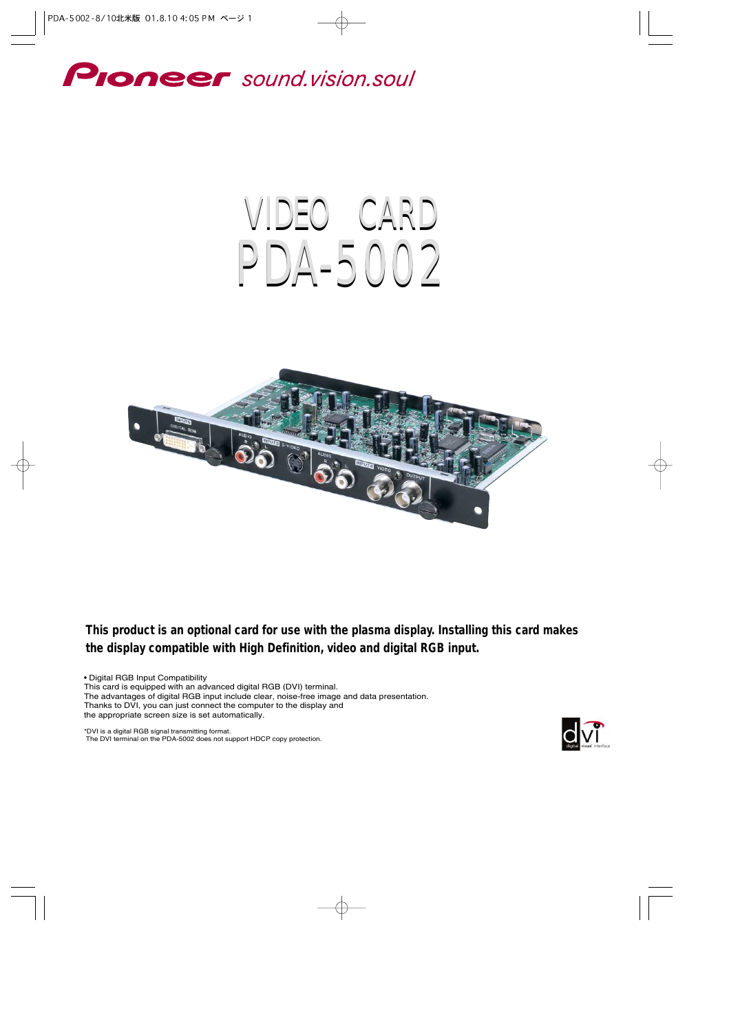

# VIDEO CARD PDA-5002



**This product is an optional card for use with the plasma display. Installing this card makes the display compatible with High Definition, video and digital RGB input.**

• Digital RGB Input Compatibility

This card is equipped with an advanced digital RGB (DVI) terminal.

The advantages of digital RGB input include clear, noise-free image and data presentation.

Thanks to DVI, you can just connect the computer to the display and

the appropriate screen size is set automatically.

\*DVI is a digital RGB signal transmitting format. The DVI terminal on the PDA-5002 does not support HDCP copy protection.